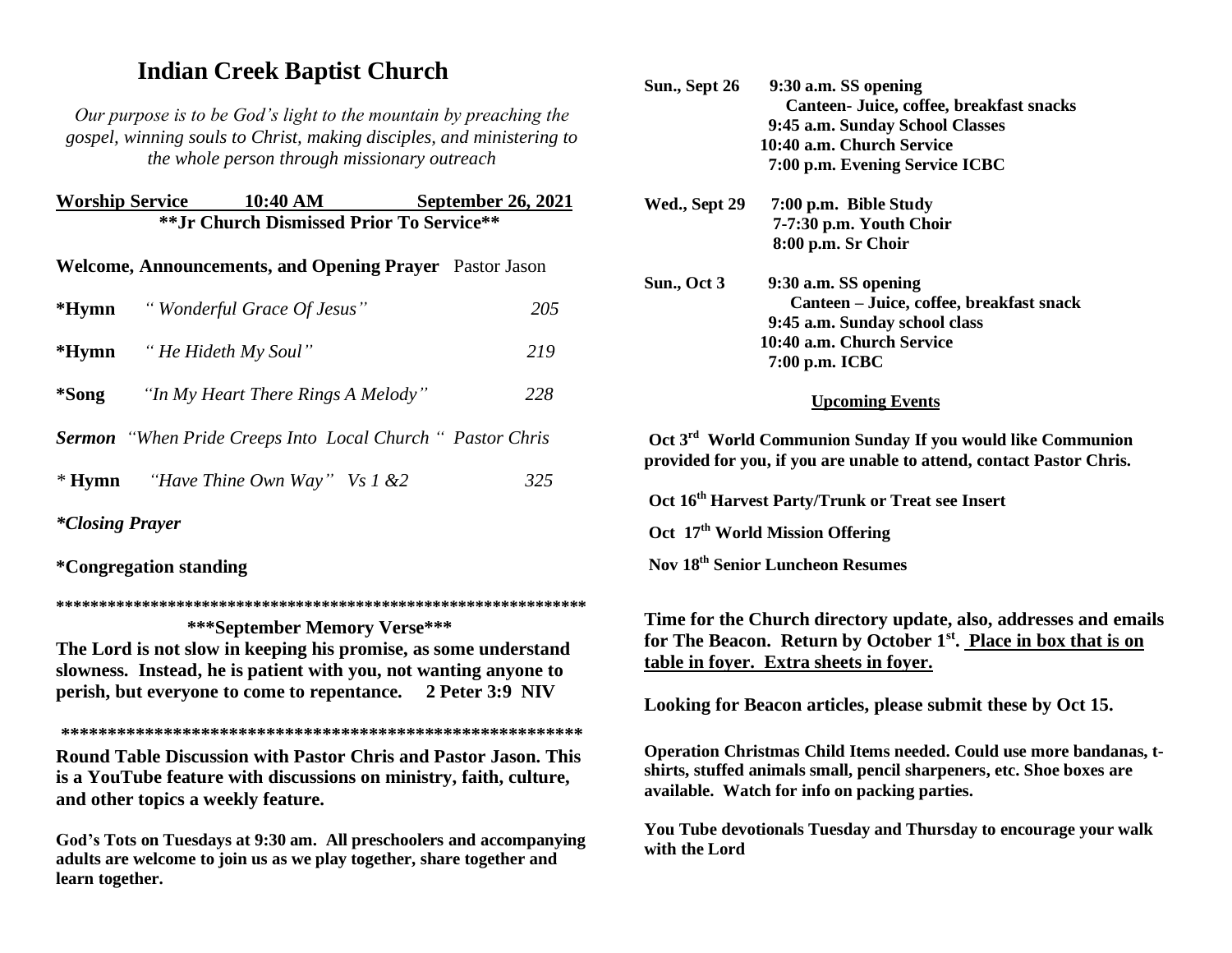## **Indian Creek Baptist Church**

*Our purpose is to be God's light to the mountain by preaching the gospel, winning souls to Christ, making disciples, and ministering to the whole person through missionary outreach*

| <b>Worship Service</b>                           | 10:40 AM                                                       | <b>September 26, 2021</b> |  |  |
|--------------------------------------------------|----------------------------------------------------------------|---------------------------|--|--|
| <b>** Jr Church Dismissed Prior To Service**</b> |                                                                |                           |  |  |
|                                                  | <b>Welcome, Announcements, and Opening Prayer</b> Pastor Jason |                           |  |  |
|                                                  | <b>*Hymn</b> "Wonderful Grace Of Jesus"                        | 205                       |  |  |
|                                                  | <b>*Hymn</b> "He Hideth My Soul"                               | 219                       |  |  |
| *Song                                            | "In My Heart There Rings A Melody"                             | 228                       |  |  |

*Sermon "When Pride Creeps Into Local Church " Pastor Chris* 

| $*H$ ymn | "Have Thine Own Way" Vs $1 \& 2$ |  | 325 |
|----------|----------------------------------|--|-----|
|----------|----------------------------------|--|-----|

*\*Closing Prayer* 

**\*Congregation standing**

**\*\*\*\*\*\*\*\*\*\*\*\*\*\*\*\*\*\*\*\*\*\*\*\*\*\*\*\*\*\*\*\*\*\*\*\*\*\*\*\*\*\*\*\*\*\*\*\*\*\*\*\*\*\*\*\*\*\*\*\*\*\***

 **\*\*\*September Memory Verse\*\*\*** 

**The Lord is not slow in keeping his promise, as some understand slowness. Instead, he is patient with you, not wanting anyone to perish, but everyone to come to repentance. 2 Peter 3:9 NIV** 

**\*\*\*\*\*\*\*\*\*\*\*\*\*\*\*\*\*\*\*\*\*\*\*\*\*\*\*\*\*\*\*\*\*\*\*\*\*\*\*\*\*\*\*\*\*\*\*\*\*\*\*\*\*\*\*\* Round Table Discussion with Pastor Chris and Pastor Jason. This is a YouTube feature with discussions on ministry, faith, culture, and other topics a weekly feature.**

**God's Tots on Tuesdays at 9:30 am. All preschoolers and accompanying adults are welcome to join us as we play together, share together and learn together.**

| Sun., Sept 26 | 9:30 a.m. SS opening                                                                                                                           |
|---------------|------------------------------------------------------------------------------------------------------------------------------------------------|
|               | Canteen- Juice, coffee, breakfast snacks                                                                                                       |
|               | 9:45 a.m. Sunday School Classes                                                                                                                |
|               | 10:40 a.m. Church Service                                                                                                                      |
|               | 7:00 p.m. Evening Service ICBC                                                                                                                 |
| Wed., Sept 29 | 7:00 p.m. Bible Study                                                                                                                          |
|               | 7-7:30 p.m. Youth Choir                                                                                                                        |
|               | 8:00 p.m. Sr Choir                                                                                                                             |
| Sun., Oct 3   | 9:30 a.m. SS opening                                                                                                                           |
|               | Canteen – Juice, coffee, breakfast snack                                                                                                       |
|               | 9:45 a.m. Sunday school class                                                                                                                  |
|               | 10:40 a.m. Church Service                                                                                                                      |
|               | 7:00 p.m. ICBC                                                                                                                                 |
|               | <b>Upcoming Events</b>                                                                                                                         |
|               | Oct 3 <sup>rd</sup> World Communion Sunday If you would like Communion<br>resided for sexy. If sexy are smakle to ottend acapted Decter Chris. |

**provided for you, if you are unable to attend, contact Pastor Chris.**

**Oct 16th Harvest Party/Trunk or Treat see Insert**

**Oct 17th World Mission Offering**

**Nov 18th Senior Luncheon Resumes**

**Time for the Church directory update, also, addresses and emails for The Beacon. Return by October 1st . Place in box that is on table in foyer. Extra sheets in foyer.**

**Looking for Beacon articles, please submit these by Oct 15.**

**Operation Christmas Child Items needed. Could use more bandanas, tshirts, stuffed animals small, pencil sharpeners, etc. Shoe boxes are available. Watch for info on packing parties.**

**You Tube devotionals Tuesday and Thursday to encourage your walk with the Lord**